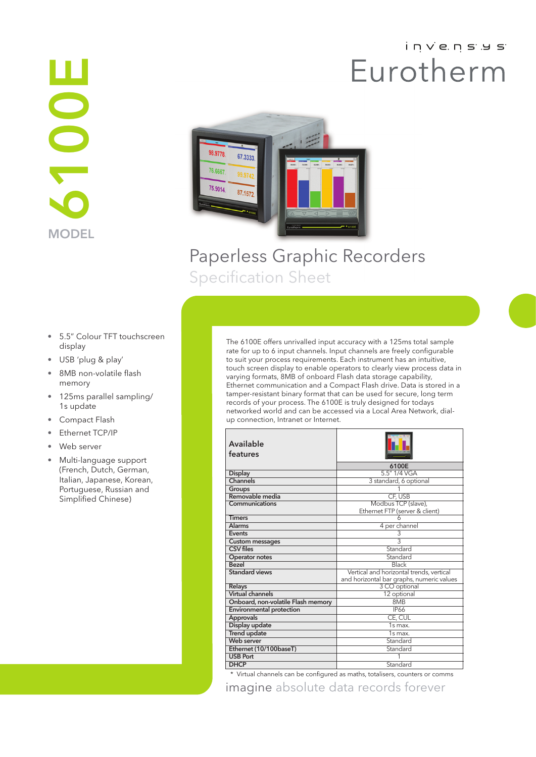# i n v e n s y s Eurotherm

# **MODEL** E001



 $\mathbf{r}$ 

# Paperless Graphic Recorders Specification Sheet

- 5.5" Colour TFT touchscreen display
- USB 'plug & play'
- 8MB non-volatile flash memory
- 125ms parallel sampling/ 1s update
- Compact Flash
- Ethernet TCP/IP
- Web server
- Multi-language support (French, Dutch, German, Italian, Japanese, Korean, Portuguese, Russian and Simplified Chinese)

The 6100E offers unrivalled input accuracy with a 125ms total sample rate for up to 6 input channels. Input channels are freely configurable to suit your process requirements. Each instrument has an intuitive, touch screen display to enable operators to clearly view process data in varying formats, 8MB of onboard Flash data storage capability, Ethernet communication and a Compact Flash drive. Data is stored in a tamper-resistant binary format that can be used for secure, long term records of your process. The 6100E is truly designed for todays networked world and can be accessed via a Local Area Network, dialup connection, Intranet or Internet.

| Available<br>features              |                                           |  |
|------------------------------------|-------------------------------------------|--|
|                                    | 6100E                                     |  |
| <b>Display</b>                     | 5.5" 1/4 VGA                              |  |
| Channels                           | 3 standard, 6 optional                    |  |
| Groups                             |                                           |  |
| Removable media                    | CF. USB                                   |  |
| Communications                     | Modbus TCP (slave),                       |  |
|                                    | Ethernet FTP (server & client)            |  |
| <b>Timers</b>                      |                                           |  |
| <b>Alarms</b>                      | 4 per channel                             |  |
| Events                             | 3                                         |  |
| <b>Custom messages</b>             | $\overline{3}$                            |  |
| <b>CSV files</b>                   | Standard                                  |  |
| Operator notes                     | Standard                                  |  |
| <b>Bezel</b>                       | Black                                     |  |
| <b>Standard views</b>              | Vertical and horizontal trends, vertical  |  |
|                                    | and horizontal bar graphs, numeric values |  |
| Relays                             | 3 CO optional                             |  |
| <b>Virtual channels</b>            | 12 optional                               |  |
| Onboard, non-volatile Flash memory | 8MB                                       |  |
| <b>Environmental protection</b>    | <b>IP66</b>                               |  |
| <b>Approvals</b>                   | CE, CUL                                   |  |
| Display update                     | $1s$ max.                                 |  |
| <b>Trend update</b>                | $\overline{1}$ s max.                     |  |
| Web server                         | Standard                                  |  |
| Ethernet (10/100baseT)             | Standard                                  |  |
| <b>USB Port</b>                    |                                           |  |
| <b>DHCP</b>                        | Standard                                  |  |

imagine absolute data records forever \* Virtual channels can be configured as maths, totalisers, counters or comms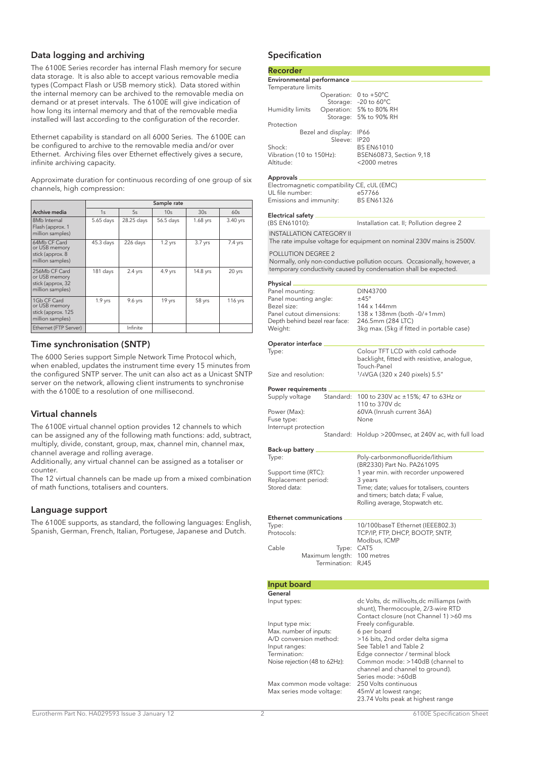#### Data logging and archiving

The 6100E Series recorder has internal Flash memory for secure data storage. It is also able to accept various removable media types (Compact Flash or USB memory stick). Data stored within the internal memory can be archived to the removable media on demand or at preset intervals. The 6100E will give indication of how long its internal memory and that of the removable media installed will last according to the configuration of the recorder.

Ethernet capability is standard on all 6000 Series. The 6100E can be configured to archive to the removable media and/or over Ethernet. Archiving files over Ethernet effectively gives a secure, infinite archiving capacity.

Approximate duration for continuous recording of one group of six channels, high compression:

|                                                                         | Sample rate |            |           |           |           |
|-------------------------------------------------------------------------|-------------|------------|-----------|-----------|-----------|
| Archive media                                                           | 1s          | 5s         | 10s       | 30s       | 60s       |
| 8Mb Internal<br>Flash (approx. 1<br>million samples)                    | 5.65 days   | 28.25 days | 56.5 days | 1.68 yrs  | 3.40 yrs  |
| 64Mb CF Card<br>or USB memory<br>stick (approx. 8<br>million samples)   | $45.3$ days | 226 days   | $1.2$ yrs | $3.7$ yrs | $7.4$ yrs |
| 256Mb CF Card<br>or USB memory<br>stick (approx, 32<br>million samples) | 181 days    | $2.4$ yrs  | 4.9 yrs   | 14.8 yrs  | 20 yrs    |
| 1Gb CF Card<br>or USB memory<br>stick (approx. 125<br>million samples)  | $1.9$ yrs   | 9.6 yrs    | 19 yrs    | 58 yrs    | 116 yrs   |
| Ethernet (FTP Server)                                                   |             | Infinite   |           |           |           |

#### Time synchronisation (SNTP)

The 6000 Series support Simple Network Time Protocol which, when enabled, updates the instrument time every 15 minutes from the configured SNTP server. The unit can also act as a Unicast SNTP server on the network, allowing client instruments to synchronise with the 6100E to a resolution of one millisecond.

#### Virtual channels

The 6100E virtual channel option provides 12 channels to which can be assigned any of the following math functions: add, subtract, multiply, divide, constant, group, max, channel min, channel max, channel average and rolling average.

Additionally, any virtual channel can be assigned as a totaliser or counter.

The 12 virtual channels can be made up from a mixed combination of math functions, totalisers and counters.

#### Language support

The 6100E supports, as standard, the following languages: English, Spanish, German, French, Italian, Portugese, Japanese and Dutch.

#### Specification

#### Recorder Environmental performance Temperature limits Operation: 0 to +50°C Storage: –20 to 60°C Humidity limits Operation: 5% to 80% RH Storage: 5% to 90% RH Protection Bezel and display: IP66<br>Sleeve: IP20 Sleeve: Shock: BS EN61010<br>Vibration (10 to 150Hz): BSEN60873 BSEN60873, Section 9,18 Altitude: <2000 metres Approvals

| Electromagnetic compatibility CE, cUL (EMC) |                   |
|---------------------------------------------|-------------------|
| UL file number:                             | e57766            |
| Emissions and immunity:                     | <b>BS EN61326</b> |

#### Electrical safety

| Electrical safety.<br>(BS EN61010):                                                                                                                                       | Installation cat. II; Pollution degree 2                                                                                                     |
|---------------------------------------------------------------------------------------------------------------------------------------------------------------------------|----------------------------------------------------------------------------------------------------------------------------------------------|
| <b>INSTALLATION CATEGORY II</b>                                                                                                                                           | The rate impulse voltage for equipment on nominal 230V mains is 2500V.                                                                       |
| POLLUTION DEGREE 2                                                                                                                                                        | Normally, only non-conductive pollution occurs. Occasionally, however, a<br>temporary conductivity caused by condensation shall be expected. |
|                                                                                                                                                                           |                                                                                                                                              |
| Physical.<br>Panel mounting:<br>Panel mounting angle:<br>Bezel size:<br>Panel cutout dimensions:<br>Depth behind bezel rear face:<br>Weight:<br><b>Operator interface</b> | DIN43700<br>±45°<br>144 x 144mm<br>138 x 138mm (both -0/+1mm)<br>246.5mm (284 LTC)<br>3kg max. (5kg if fitted in portable case)              |
| Type:                                                                                                                                                                     | Colour TFT LCD with cold cathode                                                                                                             |
| Size and resolution:                                                                                                                                                      | backlight, fitted with resistive, analogue,<br>Touch-Panel<br>1/4VGA (320 x 240 pixels) 5.5"                                                 |
| Power requirements                                                                                                                                                        |                                                                                                                                              |
| Standard:<br>Supply voltage                                                                                                                                               | 100 to 230V ac ±15%; 47 to 63Hz or<br>110 to 370V dc                                                                                         |
| Power (Max):                                                                                                                                                              | 60VA (Inrush current 36A)                                                                                                                    |
| Fuse type:<br>Interrupt protection                                                                                                                                        | None                                                                                                                                         |
| Standard:                                                                                                                                                                 | Holdup >200msec, at 240V ac, with full load                                                                                                  |
| Back-up battery .                                                                                                                                                         |                                                                                                                                              |
| Type:                                                                                                                                                                     | Poly-carbonmonofluoride/lithium                                                                                                              |
| Support time (RTC):                                                                                                                                                       | (BR2330) Part No. PA261095<br>1 year min. with recorder unpowered                                                                            |
| Replacement period:                                                                                                                                                       | 3 years                                                                                                                                      |
| Stored data:                                                                                                                                                              | Time; date; values for totalisers, counters<br>and timers; batch data; F value,                                                              |
|                                                                                                                                                                           | Rolling average, Stopwatch etc.                                                                                                              |
| <b>Ethernet communications</b>                                                                                                                                            |                                                                                                                                              |
| Type:                                                                                                                                                                     | 10/100baseT Ethernet (IEEE802.3)                                                                                                             |
| Protocols:                                                                                                                                                                | TCP/IP, FTP, DHCP, BOOTP, SNTP,<br>Modbus, ICMP                                                                                              |
| Cable<br>Type:                                                                                                                                                            | CAT5                                                                                                                                         |
| Maximum length:<br>Termination:                                                                                                                                           | 100 metres<br><b>RJ45</b>                                                                                                                    |
|                                                                                                                                                                           |                                                                                                                                              |
| <b>Input board</b>                                                                                                                                                        |                                                                                                                                              |
| General                                                                                                                                                                   |                                                                                                                                              |
| Input types:                                                                                                                                                              | dc Volts, dc millivolts, dc milliamps (with<br>shunt), Thermocouple, 2/3-wire RTD<br>Contact closure (not Channel 1) >60 ms                  |
| Input type mix:<br>الألكات المتواط والمستحدث المدا                                                                                                                        | Freely configurable.<br>المستور والمستور                                                                                                     |

| shunt), Thermocouple, 2/3-wire RTD    |
|---------------------------------------|
| Contact closure (not Channel 1) >60 m |
| Freely configurable.                  |
| 6 per board                           |
| >16 bits, 2nd order delta sigma       |
| See Table1 and Table 2                |
| Edge connector / terminal block       |
| Common mode: >140dB (channel to       |
| channel and channel to ground).       |
| Series mode: >60dB                    |
| 250 Volts continuous                  |
| 45mV at lowest range;                 |
| 23.74 Volts peak at highest range     |
|                                       |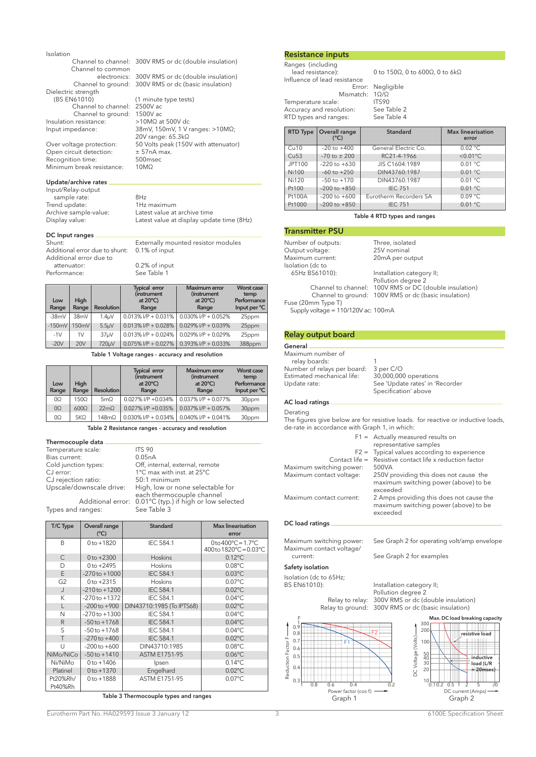#### Isolation

Channel to channel: 300V RMS or dc (double insulation) Channel to common<br>
electronics

(1 minute type tests)<br>2500V ac

20V range: 65.3kΩ

electronics: 300V RMS or dc (double insulation)<br>Channel to ground: 300V RMS or dc (basic insulation) Channel to ground: 300V RMS or dc (basic insulation)

Input impedance: 38mV, 150mV, 1 V ranges: >10MΩ;

 $50$  Volts peak (150V with attenuator)<br> $\pm$  57nA max.

Dielectric strength<br>(BS EN61010) Channel to channel: 2500V ac Channel to ground: 1500V ac Insulation resistance: >10MΩ at 500V dc<br>Input impedance: 38mV, 150mV, 1 V r

Over voltage protection:  $= 50$  Volts p<br>Open circuit detection:  $= 57$ nA m<br>Recognition time: 500msec Recognition time: 500ms<br>Minimum break resistance: 10M $\Omega$ Minimum break resistance:

#### Update/archive rates

Input/Relay-output sample rate: 8Hz Trend update:<br>Archive sample-value:

Archive sample-value: Latest value at archive time<br>Display value: Latest value at display upda Latest value at display update time (8Hz)

## DC Input ranges<br>Shunt:

Externally mounted resistor modules<br>0.1% of input Additional error due to shunt: Additional error due to<br>attenuator: 0.2% of input<br>See Table 1 Performance:

| Low<br>Range | High<br>Range | <b>Resolution</b>  | <b>Typical error</b><br><i>(instrument)</i><br>at $20^{\circ}$ C)<br>Range | <b>Maximum</b> error<br><i>(instrument)</i><br>at $20^{\circ}$ C)<br>Range | Worst case<br>temp<br>Performance<br>Input per °C |
|--------------|---------------|--------------------|----------------------------------------------------------------------------|----------------------------------------------------------------------------|---------------------------------------------------|
| $-38mV$      | 38mV          | 1.4 <sub>µ</sub> V | $0.013\%$ I/P + 0.031%                                                     | $0.030\%$ I/P + 0.052%                                                     | 25ppm                                             |
| $-150mV$     | 150mV         | 5.5 <sub>µ</sub> V | $0.013\%$ I/P + 0.028%                                                     | $0.029\%$ I/P + 0.039%                                                     | 25ppm                                             |
| $-1V$        | 1V            | 37 <sub>µ</sub> V  | $0.013\%$ I/P + 0.024%                                                     | $0.029\%$ I/P + 0.029%                                                     | 25ppm                                             |
| $-20V$       | 20V           | 720µV              | $0.075\%$ I/P + 0.027%                                                     | $0.393\%$ I/P + 0.033%                                                     | 388ppm                                            |

Table 1 Voltage ranges - accuracy and resolution

| Low<br>Range | High<br>Range | <b>Resolution</b> | <b>Typical error</b><br>(instrument<br>at $20^{\circ}$ C)<br>Range | <b>Maximum</b> error<br><i>(instrument)</i><br>at $20^{\circ}$ C)<br>Range | <b>Worst case</b><br>temp<br>Performance<br>Input per °C |
|--------------|---------------|-------------------|--------------------------------------------------------------------|----------------------------------------------------------------------------|----------------------------------------------------------|
| OQ.          | 1500          | 5mQ               | $0.027\%$ I/P $+0.034\%$                                           | $0.037\%$ I/P + 0.077%                                                     | 30ppm                                                    |
| $\Omega$     | $600\Omega$   | 22mQ              | 0.027% I/P +0.035%                                                 | $0.037\%$ I/P + 0.057%                                                     | 30ppm                                                    |
| 0Ω           | $5K\Omega$    | $148m\Omega$      | $0.030\%$ I/P + 0.034%                                             | $0.040\%$ I/P + 0.041%                                                     | 30ppm                                                    |

Table 2 Resistance ranges - accuracy and resolution

#### Thermocouple data

| Temperature scale:       | <b>ITS 90</b>                                           |
|--------------------------|---------------------------------------------------------|
| Bias current:            | 0.05nA                                                  |
| Cold junction types:     | Off, internal, external, remote                         |
| CJ error:                | 1°C max with inst. at 25°C                              |
| CJ rejection ratio:      | 50:1 minimum                                            |
| Upscale/downscale drive: | High, low or none selectable for                        |
|                          | each thermocouple channel                               |
|                          | Additional error: 0.01°C (typ.) if high or low selected |
| Types and ranges:        | See Table 3                                             |

| T/C Type            | Overall range<br>$(^{\circ}C)$ | Standard                  | Max linearisation<br>error                                                             |
|---------------------|--------------------------------|---------------------------|----------------------------------------------------------------------------------------|
| B                   | $0 to +1820$                   | <b>IEC 584.1</b>          | 0 to $400^{\circ}$ C = 1.7 $^{\circ}$ C<br>400 to $1820^{\circ}$ C = 0.03 $^{\circ}$ C |
| $\mathsf{C}$        | $0 to +2300$                   | <b>Hoskins</b>            | $0.12^{\circ}$ C                                                                       |
| D                   | $0 to +2495$                   | <b>Hoskins</b>            | $0.08^{\circ}$ C                                                                       |
| E                   | $-270$ to $+1000$              | <b>IEC 584.1</b>          | $0.03^{\circ}$ C                                                                       |
| G <sub>2</sub>      | $0 to +2315$                   | <b>Hoskins</b>            | $0.07^{\circ}$ C                                                                       |
| J                   | $-210$ to $+1200$              | <b>IEC 584.1</b>          | $0.02^{\circ}$ C                                                                       |
| Κ                   | $-270$ to $+1372$              | <b>IEC 584.1</b>          | $0.04$ °C                                                                              |
| L                   | $-200$ to $+900$               | DIN43710:1985 (To IPTS68) | $0.02^{\circ}$ C                                                                       |
| N                   | $-270$ to $+1300$              | <b>IEC 584.1</b>          | $0.04$ °C                                                                              |
| R                   | $-50$ to $+1768$               | <b>IEC 584.1</b>          | $0.04$ °C                                                                              |
| S                   | $-50$ to $+1768$               | <b>IEC 584.1</b>          | $0.04$ °C                                                                              |
| T                   | $-270$ to $+400$               | <b>IEC 584.1</b>          | $0.02^{\circ}$ C                                                                       |
| U                   | $-200$ to $+600$               | DIN43710:1985             | $0.08^{\circ}$ C                                                                       |
| NiMo/NiCo           | $-50$ to $+1410$               | <b>ASTM E1751-95</b>      | $0.06^{\circ}$ C                                                                       |
| Ni/NiMo             | $0 to +1406$                   | Ipsen                     | $0.14^{\circ}$ C                                                                       |
| Platinel            | $0 to +1370$                   | Engelhard                 | $0.02^{\circ}$ C                                                                       |
| Pt20%Rh/<br>Pt40%Rh | $0 to +1888$                   | ASTM E1751-95             | $0.07^{\circ}$ C                                                                       |

Table 3 Thermocouple types and ranges

#### Resistance inputs

Ranges (including<br>lead resistance): Influence of lead resistance Mismatch: 1Ω/Ω<br>ITS90 Temperature scale: ITS90<br>Accuracy and resolution: See Table 2 Accuracy and resolution: See Table 2<br>RTD types and ranges: See Table 4 RTD types and ranges:

Error: Negligible<br>match: 1Ω/Ω

lead to 150Ω, 0 to 600Ω, 0 to 6kΩ

| <b>RTD Type</b>  | Overall range<br>$(^{\circ}C)$ | Standard               | <b>Max linearisation</b><br>error |
|------------------|--------------------------------|------------------------|-----------------------------------|
| Cu10             | $-20$ to $+400$                | General Electric Co.   | $0.02 \text{ °C}$                 |
| Cu <sub>53</sub> | $-70$ to $\pm 200$             | RC21-4-1966            | $< 0.01$ °C                       |
| JPT100           | $-220$ to $+630$               | JIS C1604:1989         | 0.01 °C                           |
| <b>Ni100</b>     | $-60$ to $+250$                | DIN43760:1987          | 0.01 °C                           |
| Ni120            | $-50$ to $+170$                | DIN43760:1987          | 0.01 °C                           |
| Pt100            | $-200$ to $+850$               | <b>IEC 751</b>         | 0.01 °C                           |
| Pt100A           | $-200$ to $+600$               | Eurotherm Recorders SA | 0.09 °C                           |
| Pt1000           | $-200$ to $+850$               | <b>IEC 751</b>         | 0.01 °C                           |

#### Table 4 RTD types and ranges

#### Transmitter PSU

| Number of outputs:                  | Three, isolated                                        |
|-------------------------------------|--------------------------------------------------------|
| Output voltage:                     | 25V nominal                                            |
| Maximum current:                    | 20mA per output                                        |
| Isolation (dc to                    |                                                        |
| 65Hz BS61010):                      | Installation category II;                              |
|                                     | Pollution degree 2                                     |
|                                     | Channel to channel: 100V RMS or DC (double insulation) |
|                                     | Channel to ground: 100V RMS or dc (basic insulation)   |
| Fuse (20mm Type T)                  |                                                        |
| Supply voltage = 110/120V ac: 100mA |                                                        |

#### Relay output board

#### General Maximum number of relay boards:<br>umber of relays per board: 3 per C/O Number of relays per board: 3 per C/O<br>Estimated mechanical life: 30,000,000 operations Estimated mechanical life:<br>Update rate: See 'Update rates' in 'Recorder Specification' above AC load ratings

Derating

The figures give below are for resistive loads. for reactive or inductive loads, de-rate in accordance with Graph 1, in which:

|                          | $F1 =$ Actually measured results on<br>representative samples                                 |
|--------------------------|-----------------------------------------------------------------------------------------------|
|                          | $F2 =$ Typical values according to experience                                                 |
|                          | Contact life = Resistive contact life x reduction factor                                      |
| Maximum switching power: | 500VA                                                                                         |
| Maximum contact voltage: | 250V providing this does not cause the<br>maximum switching power (above) to be<br>exceeded   |
| Maximum contact current: | 2 Amps providing this does not cause the<br>maximum switching power (above) to be<br>exceeded |
|                          |                                                                                               |

#### DC load ratings

Maximum contact voltage/

#### Maximum switching power: See Graph 2 for operating volt/amp envelope

current: See Graph 2 for examples

#### Safety isolation

Isolation (dc to 65Hz;<br>BS EN61010):



Installation category II; Pollution degree 2 Relay to relay: 300V RMS or dc (double insulation)<br>Relay to ground: 300V RMS or dc (basic insulation) 300V RMS or dc (basic insulation)



Eurotherm Part No. HA029593 Issue 3 January 12 3 6100E Specification Sheet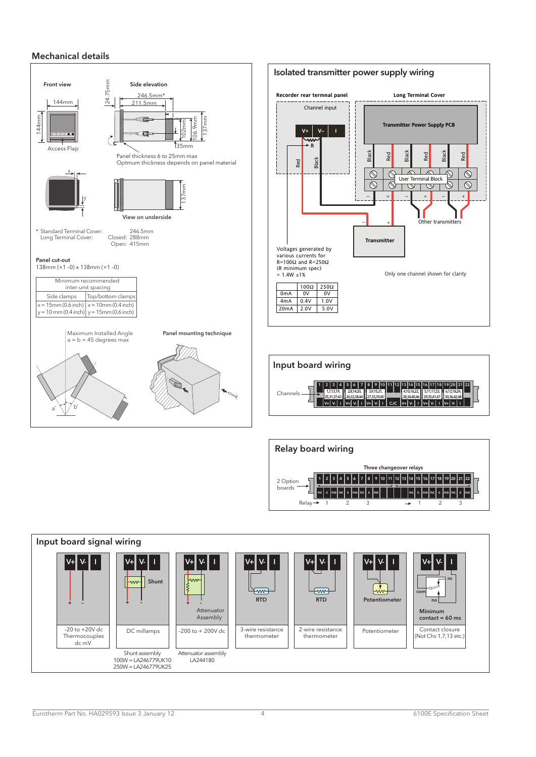#### Mechanical details





Relay

2 Option boards

1 2 3 4 5 6 7 8 9 10 11 12 13 14 15 16

nc c no nc c no nc c no nc c no nc c no nc c no

 $1$  2 3  $\rightarrow$  1 2 3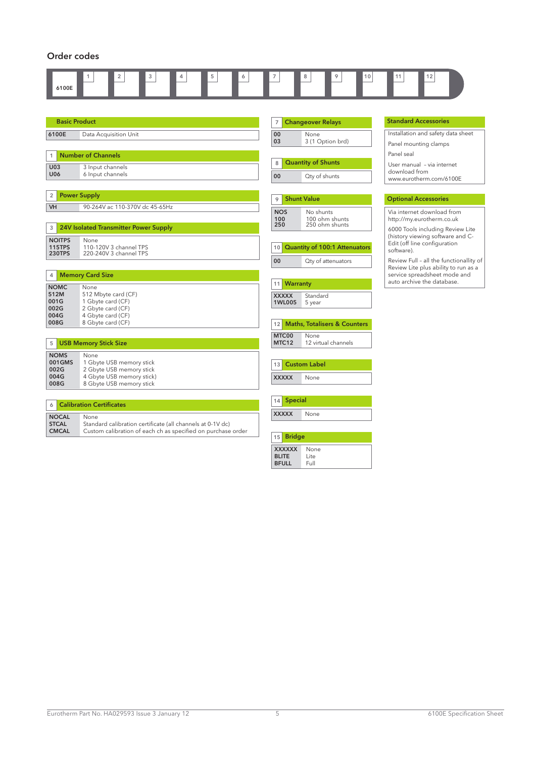#### Order codes

| 6100E                                               | 5<br>$\overline{2}$<br>3<br>4                                                                                                      | $\overline{7}$                                   | 8<br>9<br>10                                                  | 12<br>11                                                                        |
|-----------------------------------------------------|------------------------------------------------------------------------------------------------------------------------------------|--------------------------------------------------|---------------------------------------------------------------|---------------------------------------------------------------------------------|
| <b>Basic Product</b>                                |                                                                                                                                    | $\overline{7}$                                   | <b>Changeover Relays</b>                                      | <b>Standard Accessories</b>                                                     |
| 6100E                                               | Data Acquisition Unit                                                                                                              | 00                                               | None                                                          | Installation and safety data sheet                                              |
|                                                     |                                                                                                                                    | 03                                               | 3 (1 Option brd)                                              | Panel mounting clamps                                                           |
| <b>Number of Channels</b><br>1.                     |                                                                                                                                    |                                                  | <b>Quantity of Shunts</b>                                     | Panel seal<br>User manual - via internet                                        |
| <b>U03</b><br><b>U06</b>                            | 3 Input channels<br>6 Input channels                                                                                               | 8<br>00                                          | Qty of shunts                                                 | download from<br>www.eurotherm.com/6100E                                        |
| $\overline{2}$                                      | <b>Power Supply</b>                                                                                                                | 9                                                | <b>Shunt Value</b>                                            | <b>Optional Accessories</b>                                                     |
| VH                                                  | 90-264V ac 110-370V dc 45-65Hz                                                                                                     | <b>NOS</b><br>100                                | No shunts<br>100 ohm shunts                                   | Via internet download from<br>http://my.eurotherm.co.uk                         |
| 3                                                   | 24V Isolated Transmitter Power Supply                                                                                              | 250                                              | 250 ohm shunts                                                | 6000 Tools including Review Lite                                                |
| <b>NOITPS</b><br><b>115TPS</b><br><b>230TPS</b>     | None<br>110-120V 3 channel TPS<br>220-240V 3 channel TPS                                                                           | 10                                               | <b>Quantity of 100:1 Attenuators</b>                          | (history viewing software and C-<br>Edit (off line configuration<br>software).  |
|                                                     |                                                                                                                                    | 00                                               | Qty of attenuators                                            | Review Full - all the functionallity of<br>Review Lite plus ability to run as a |
| <b>Memory Card Size</b><br>4                        |                                                                                                                                    | <b>Warranty</b>                                  |                                                               | service spreadsheet mode and<br>auto archive the database.                      |
| <b>NOMC</b><br>512M<br>001G<br>002G<br>004G<br>008G | None<br>512 Mbyte card (CF)<br>1 Gbyte card (CF)<br>2 Gbyte card (CF)<br>4 Gbyte card (CF)<br>8 Gbyte card (CF)                    | 11<br><b>XXXXX</b><br>1WL005<br>12               | Standard<br>5 year<br><b>Maths, Totalisers &amp; Counters</b> |                                                                                 |
| 5 <sup>1</sup>                                      | <b>USB Memory Stick Size</b>                                                                                                       | MTC00<br>MTC12                                   | None<br>12 virtual channels                                   |                                                                                 |
| <b>NOMS</b><br>001GMS<br>002G<br>004G<br>008G       | None<br>1 Gbyte USB memory stick<br>2 Gbyte USB memory stick<br>4 Gbyte USB memory stick)<br>8 Gbyte USB memory stick              | 13<br><b>XXXXX</b>                               | <b>Custom Label</b><br>None                                   |                                                                                 |
| <b>Calibration Certificates</b><br>6                |                                                                                                                                    | <b>Special</b><br>14                             |                                                               |                                                                                 |
| <b>NOCAL</b><br><b>STCAL</b><br><b>CMCAL</b>        | None<br>Standard calibration certificate (all channels at 0-1V dc)<br>Custom calibration of each ch as specified on purchase order | <b>XXXXX</b><br><b>Bridge</b><br>15 <sup>1</sup> | None                                                          |                                                                                 |

**XXXXX None<br><b>BLITE L**ite<br>**BFULL F**ull